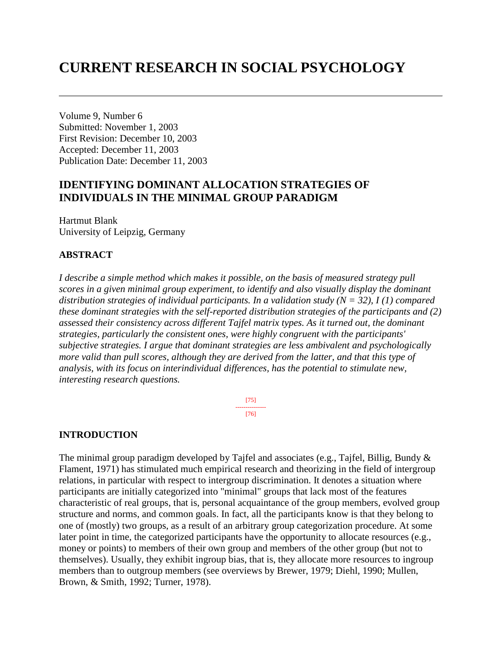# **CURRENT RESEARCH IN SOCIAL PSYCHOLOGY**

Volume 9, Number 6 Submitted: November 1, 2003 First Revision: December 10, 2003 Accepted: December 11, 2003 Publication Date: December 11, 2003

# **IDENTIFYING DOMINANT ALLOCATION STRATEGIES OF INDIVIDUALS IN THE MINIMAL GROUP PARADIGM**

Hartmut Blank University of Leipzig, Germany

#### **ABSTRACT**

*I describe a simple method which makes it possible, on the basis of measured strategy pull scores in a given minimal group experiment, to identify and also visually display the dominant distribution strategies of individual participants. In a validation study (N = 32), I (1) compared these dominant strategies with the self-reported distribution strategies of the participants and (2) assessed their consistency across different Tajfel matrix types. As it turned out, the dominant strategies, particularly the consistent ones, were highly congruent with the participants' subjective strategies. I argue that dominant strategies are less ambivalent and psychologically more valid than pull scores, although they are derived from the latter, and that this type of analysis, with its focus on interindividual differences, has the potential to stimulate new, interesting research questions.*

> [75] --------------- [76]

# **INTRODUCTION**

The minimal group paradigm developed by Tajfel and associates (e.g., Tajfel, Billig, Bundy  $\&$ Flament, 1971) has stimulated much empirical research and theorizing in the field of intergroup relations, in particular with respect to intergroup discrimination. It denotes a situation where participants are initially categorized into "minimal" groups that lack most of the features characteristic of real groups, that is, personal acquaintance of the group members, evolved group structure and norms, and common goals. In fact, all the participants know is that they belong to one of (mostly) two groups, as a result of an arbitrary group categorization procedure. At some later point in time, the categorized participants have the opportunity to allocate resources (e.g., money or points) to members of their own group and members of the other group (but not to themselves). Usually, they exhibit ingroup bias, that is, they allocate more resources to ingroup members than to outgroup members (see overviews by Brewer, 1979; Diehl, 1990; Mullen, Brown, & Smith, 1992; Turner, 1978).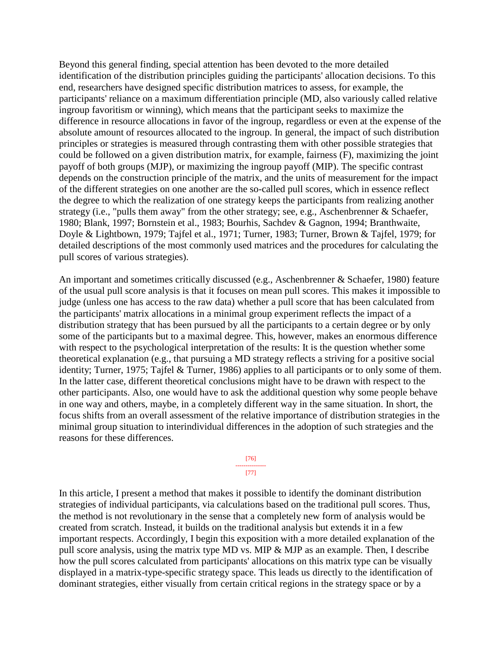Beyond this general finding, special attention has been devoted to the more detailed identification of the distribution principles guiding the participants' allocation decisions. To this end, researchers have designed specific distribution matrices to assess, for example, the participants' reliance on a maximum differentiation principle (MD, also variously called relative ingroup favoritism or winning), which means that the participant seeks to maximize the difference in resource allocations in favor of the ingroup, regardless or even at the expense of the absolute amount of resources allocated to the ingroup. In general, the impact of such distribution principles or strategies is measured through contrasting them with other possible strategies that could be followed on a given distribution matrix, for example, fairness (F), maximizing the joint payoff of both groups (MJP), or maximizing the ingroup payoff (MIP). The specific contrast depends on the construction principle of the matrix, and the units of measurement for the impact of the different strategies on one another are the so-called pull scores, which in essence reflect the degree to which the realization of one strategy keeps the participants from realizing another strategy (i.e., "pulls them away" from the other strategy; see, e.g., Aschenbrenner & Schaefer, 1980; Blank, 1997; Bornstein et al., 1983; Bourhis, Sachdev & Gagnon, 1994; Branthwaite, Doyle & Lightbown, 1979; Tajfel et al., 1971; Turner, 1983; Turner, Brown & Tajfel, 1979; for detailed descriptions of the most commonly used matrices and the procedures for calculating the pull scores of various strategies).

An important and sometimes critically discussed (e.g., Aschenbrenner & Schaefer, 1980) feature of the usual pull score analysis is that it focuses on mean pull scores. This makes it impossible to judge (unless one has access to the raw data) whether a pull score that has been calculated from the participants' matrix allocations in a minimal group experiment reflects the impact of a distribution strategy that has been pursued by all the participants to a certain degree or by only some of the participants but to a maximal degree. This, however, makes an enormous difference with respect to the psychological interpretation of the results: It is the question whether some theoretical explanation (e.g., that pursuing a MD strategy reflects a striving for a positive social identity; Turner, 1975; Tajfel & Turner, 1986) applies to all participants or to only some of them. In the latter case, different theoretical conclusions might have to be drawn with respect to the other participants. Also, one would have to ask the additional question why some people behave in one way and others, maybe, in a completely different way in the same situation. In short, the focus shifts from an overall assessment of the relative importance of distribution strategies in the minimal group situation to interindividual differences in the adoption of such strategies and the reasons for these differences.

In this article, I present a method that makes it possible to identify the dominant distribution strategies of individual participants, via calculations based on the traditional pull scores. Thus, the method is not revolutionary in the sense that a completely new form of analysis would be created from scratch. Instead, it builds on the traditional analysis but extends it in a few important respects. Accordingly, I begin this exposition with a more detailed explanation of the pull score analysis, using the matrix type MD vs. MIP & MJP as an example. Then, I describe how the pull scores calculated from participants' allocations on this matrix type can be visually displayed in a matrix-type-specific strategy space. This leads us directly to the identification of dominant strategies, either visually from certain critical regions in the strategy space or by a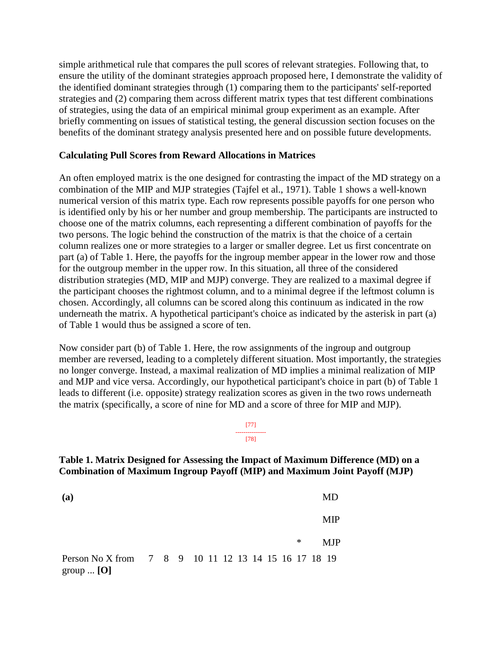simple arithmetical rule that compares the pull scores of relevant strategies. Following that, to ensure the utility of the dominant strategies approach proposed here, I demonstrate the validity of the identified dominant strategies through (1) comparing them to the participants' self-reported strategies and (2) comparing them across different matrix types that test different combinations of strategies, using the data of an empirical minimal group experiment as an example. After briefly commenting on issues of statistical testing, the general discussion section focuses on the benefits of the dominant strategy analysis presented here and on possible future developments.

#### **Calculating Pull Scores from Reward Allocations in Matrices**

An often employed matrix is the one designed for contrasting the impact of the MD strategy on a combination of the MIP and MJP strategies (Tajfel et al., 1971). Table 1 shows a well-known numerical version of this matrix type. Each row represents possible payoffs for one person who is identified only by his or her number and group membership. The participants are instructed to choose one of the matrix columns, each representing a different combination of payoffs for the two persons. The logic behind the construction of the matrix is that the choice of a certain column realizes one or more strategies to a larger or smaller degree. Let us first concentrate on part (a) of Table 1. Here, the payoffs for the ingroup member appear in the lower row and those for the outgroup member in the upper row. In this situation, all three of the considered distribution strategies (MD, MIP and MJP) converge. They are realized to a maximal degree if the participant chooses the rightmost column, and to a minimal degree if the leftmost column is chosen. Accordingly, all columns can be scored along this continuum as indicated in the row underneath the matrix. A hypothetical participant's choice as indicated by the asterisk in part (a) of Table 1 would thus be assigned a score of ten.

Now consider part (b) of Table 1. Here, the row assignments of the ingroup and outgroup member are reversed, leading to a completely different situation. Most importantly, the strategies no longer converge. Instead, a maximal realization of MD implies a minimal realization of MIP and MJP and vice versa. Accordingly, our hypothetical participant's choice in part (b) of Table 1 leads to different (i.e. opposite) strategy realization scores as given in the two rows underneath the matrix (specifically, a score of nine for MD and a score of three for MIP and MJP).

#### [77] --------------- [78]

#### **Table 1. Matrix Designed for Assessing the Impact of Maximum Difference (MD) on a Combination of Maximum Ingroup Payoff (MIP) and Maximum Joint Payoff (MJP)**

**(a)**  \* MD MIP MJP Person No X from group ... **[O]** 7 8 9 10 11 12 13 14 15 16 17 18 19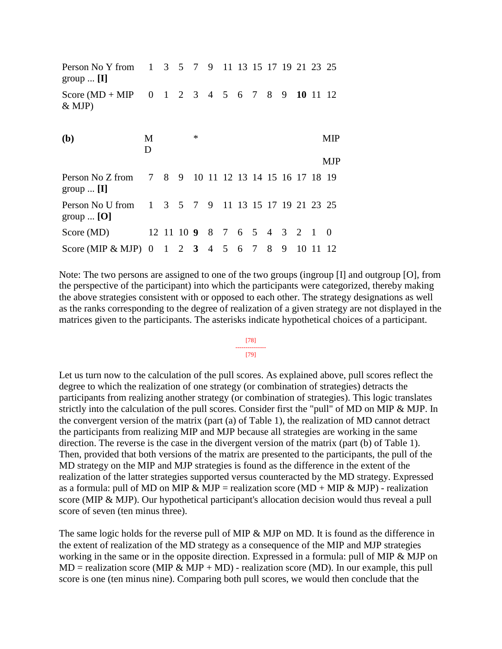| Person No Y from 1 3 5 7 9 11 13 15 17 19 21 23 25<br>group $\ldots$ [I] |        |  |        |                            |  |   |    |                                     |          |
|--------------------------------------------------------------------------|--------|--|--------|----------------------------|--|---|----|-------------------------------------|----------|
| Score (MD + MIP 0 1 2 3 4 5 6 7 8<br>& MJP)                              |        |  |        |                            |  |   |    | 9 10 11 12                          |          |
| ( <b>b</b> )                                                             | M<br>D |  | $\ast$ |                            |  |   |    |                                     | MIP      |
|                                                                          |        |  |        |                            |  |   |    |                                     | MJP      |
| Person No Z from<br>group $\ldots$ [I]                                   |        |  |        |                            |  |   |    | 7 8 9 10 11 12 13 14 15 16 17 18 19 |          |
| Person No U from<br>group $[O]$                                          |        |  |        |                            |  |   |    | 1 3 5 7 9 11 13 15 17 19 21 23 25   |          |
| Score $(MD)$                                                             |        |  |        | 12 11 10 9 8 7 6 5 4 3 2 1 |  |   |    |                                     | $\theta$ |
| Score (MIP & MJP) $0 \t1 \t2 \t3 \t4 \t5 \t6 \t7 \t8$                    |        |  |        |                            |  | 9 | 10 | 11 12                               |          |

Note: The two persons are assigned to one of the two groups (ingroup [I] and outgroup [O], from the perspective of the participant) into which the participants were categorized, thereby making the above strategies consistent with or opposed to each other. The strategy designations as well as the ranks corresponding to the degree of realization of a given strategy are not displayed in the matrices given to the participants. The asterisks indicate hypothetical choices of a participant.

#### [78] --------------- [79]

#### Let us turn now to the calculation of the pull scores. As explained above, pull scores reflect the degree to which the realization of one strategy (or combination of strategies) detracts the participants from realizing another strategy (or combination of strategies). This logic translates strictly into the calculation of the pull scores. Consider first the "pull" of MD on MIP & MJP. In the convergent version of the matrix (part (a) of Table 1), the realization of MD cannot detract the participants from realizing MIP and MJP because all strategies are working in the same direction. The reverse is the case in the divergent version of the matrix (part (b) of Table 1). Then, provided that both versions of the matrix are presented to the participants, the pull of the MD strategy on the MIP and MJP strategies is found as the difference in the extent of the realization of the latter strategies supported versus counteracted by the MD strategy. Expressed as a formula: pull of MD on MIP & MJP = realization score (MD + MIP & MJP) - realization score (MIP & MJP). Our hypothetical participant's allocation decision would thus reveal a pull score of seven (ten minus three).

The same logic holds for the reverse pull of MIP & MJP on MD. It is found as the difference in the extent of realization of the MD strategy as a consequence of the MIP and MJP strategies working in the same or in the opposite direction. Expressed in a formula: pull of MIP & MJP on  $MD = realization score (MIP & MJP + MD) - realization score (MD). In our example, this pull$ score is one (ten minus nine). Comparing both pull scores, we would then conclude that the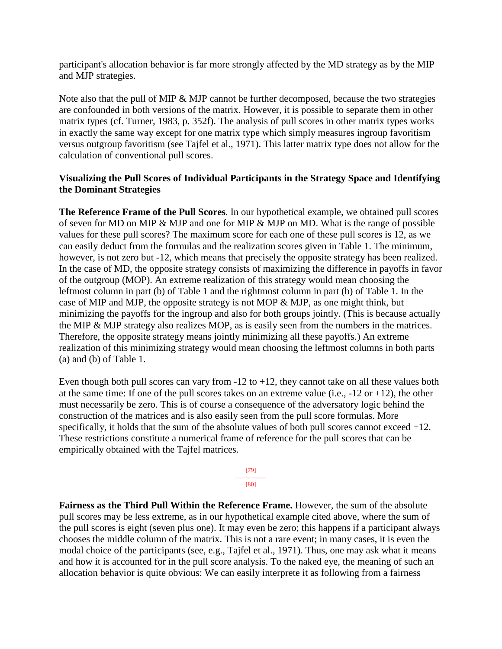participant's allocation behavior is far more strongly affected by the MD strategy as by the MIP and MJP strategies.

Note also that the pull of MIP & MJP cannot be further decomposed, because the two strategies are confounded in both versions of the matrix. However, it is possible to separate them in other matrix types (cf. Turner, 1983, p. 352f). The analysis of pull scores in other matrix types works in exactly the same way except for one matrix type which simply measures ingroup favoritism versus outgroup favoritism (see Tajfel et al., 1971). This latter matrix type does not allow for the calculation of conventional pull scores.

# **Visualizing the Pull Scores of Individual Participants in the Strategy Space and Identifying the Dominant Strategies**

**The Reference Frame of the Pull Scores**. In our hypothetical example, we obtained pull scores of seven for MD on MIP & MJP and one for MIP & MJP on MD. What is the range of possible values for these pull scores? The maximum score for each one of these pull scores is 12, as we can easily deduct from the formulas and the realization scores given in Table 1. The minimum, however, is not zero but -12, which means that precisely the opposite strategy has been realized. In the case of MD, the opposite strategy consists of maximizing the difference in payoffs in favor of the outgroup (MOP). An extreme realization of this strategy would mean choosing the leftmost column in part (b) of Table 1 and the rightmost column in part (b) of Table 1. In the case of MIP and MJP, the opposite strategy is not MOP & MJP, as one might think, but minimizing the payoffs for the ingroup and also for both groups jointly. (This is because actually the MIP & MJP strategy also realizes MOP, as is easily seen from the numbers in the matrices. Therefore, the opposite strategy means jointly minimizing all these payoffs.) An extreme realization of this minimizing strategy would mean choosing the leftmost columns in both parts (a) and (b) of Table 1.

Even though both pull scores can vary from  $-12$  to  $+12$ , they cannot take on all these values both at the same time: If one of the pull scores takes on an extreme value (i.e., -12 or +12), the other must necessarily be zero. This is of course a consequence of the adversatory logic behind the construction of the matrices and is also easily seen from the pull score formulas. More specifically, it holds that the sum of the absolute values of both pull scores cannot exceed +12. These restrictions constitute a numerical frame of reference for the pull scores that can be empirically obtained with the Tajfel matrices.

> [79] --------------- [80]

**Fairness as the Third Pull Within the Reference Frame.** However, the sum of the absolute pull scores may be less extreme, as in our hypothetical example cited above, where the sum of the pull scores is eight (seven plus one). It may even be zero; this happens if a participant always chooses the middle column of the matrix. This is not a rare event; in many cases, it is even the modal choice of the participants (see, e.g., Tajfel et al., 1971). Thus, one may ask what it means and how it is accounted for in the pull score analysis. To the naked eye, the meaning of such an allocation behavior is quite obvious: We can easily interprete it as following from a fairness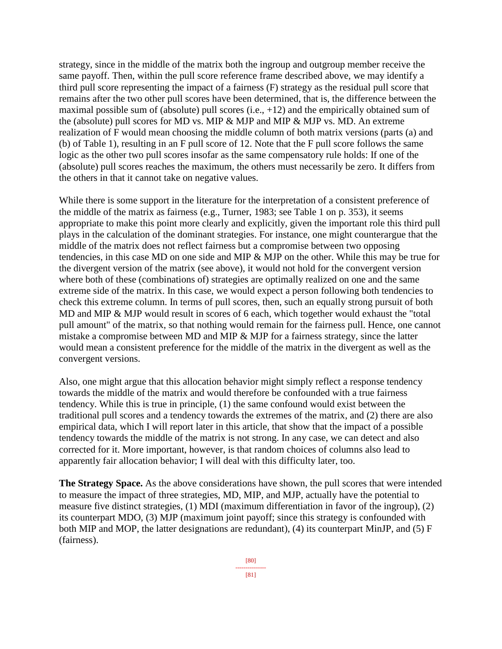strategy, since in the middle of the matrix both the ingroup and outgroup member receive the same payoff. Then, within the pull score reference frame described above, we may identify a third pull score representing the impact of a fairness (F) strategy as the residual pull score that remains after the two other pull scores have been determined, that is, the difference between the maximal possible sum of (absolute) pull scores  $(i.e., +12)$  and the empirically obtained sum of the (absolute) pull scores for MD vs. MIP & MJP and MIP & MJP vs. MD. An extreme realization of F would mean choosing the middle column of both matrix versions (parts (a) and (b) of Table 1), resulting in an F pull score of 12. Note that the F pull score follows the same logic as the other two pull scores insofar as the same compensatory rule holds: If one of the (absolute) pull scores reaches the maximum, the others must necessarily be zero. It differs from the others in that it cannot take on negative values.

While there is some support in the literature for the interpretation of a consistent preference of the middle of the matrix as fairness (e.g., Turner, 1983; see Table 1 on p. 353), it seems appropriate to make this point more clearly and explicitly, given the important role this third pull plays in the calculation of the dominant strategies. For instance, one might counterargue that the middle of the matrix does not reflect fairness but a compromise between two opposing tendencies, in this case MD on one side and MIP & MJP on the other. While this may be true for the divergent version of the matrix (see above), it would not hold for the convergent version where both of these (combinations of) strategies are optimally realized on one and the same extreme side of the matrix. In this case, we would expect a person following both tendencies to check this extreme column. In terms of pull scores, then, such an equally strong pursuit of both MD and MIP & MJP would result in scores of 6 each, which together would exhaust the "total pull amount" of the matrix, so that nothing would remain for the fairness pull. Hence, one cannot mistake a compromise between MD and MIP & MJP for a fairness strategy, since the latter would mean a consistent preference for the middle of the matrix in the divergent as well as the convergent versions.

Also, one might argue that this allocation behavior might simply reflect a response tendency towards the middle of the matrix and would therefore be confounded with a true fairness tendency. While this is true in principle, (1) the same confound would exist between the traditional pull scores and a tendency towards the extremes of the matrix, and (2) there are also empirical data, which I will report later in this article, that show that the impact of a possible tendency towards the middle of the matrix is not strong. In any case, we can detect and also corrected for it. More important, however, is that random choices of columns also lead to apparently fair allocation behavior; I will deal with this difficulty later, too.

**The Strategy Space.** As the above considerations have shown, the pull scores that were intended to measure the impact of three strategies, MD, MIP, and MJP, actually have the potential to measure five distinct strategies, (1) MDI (maximum differentiation in favor of the ingroup), (2) its counterpart MDO, (3) MJP (maximum joint payoff; since this strategy is confounded with both MIP and MOP, the latter designations are redundant), (4) its counterpart MinJP, and (5) F (fairness).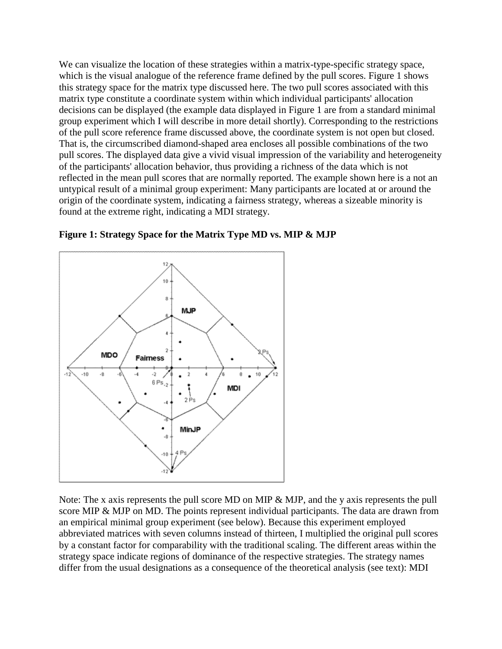We can visualize the location of these strategies within a matrix-type-specific strategy space, which is the visual analogue of the reference frame defined by the pull scores. Figure 1 shows this strategy space for the matrix type discussed here. The two pull scores associated with this matrix type constitute a coordinate system within which individual participants' allocation decisions can be displayed (the example data displayed in Figure 1 are from a standard minimal group experiment which I will describe in more detail shortly). Corresponding to the restrictions of the pull score reference frame discussed above, the coordinate system is not open but closed. That is, the circumscribed diamond-shaped area encloses all possible combinations of the two pull scores. The displayed data give a vivid visual impression of the variability and heterogeneity of the participants' allocation behavior, thus providing a richness of the data which is not reflected in the mean pull scores that are normally reported. The example shown here is a not an untypical result of a minimal group experiment: Many participants are located at or around the origin of the coordinate system, indicating a fairness strategy, whereas a sizeable minority is found at the extreme right, indicating a MDI strategy.



**Figure 1: Strategy Space for the Matrix Type MD vs. MIP & MJP**

Note: The x axis represents the pull score MD on MIP & MJP, and the y axis represents the pull score MIP & MJP on MD. The points represent individual participants. The data are drawn from an empirical minimal group experiment (see below). Because this experiment employed abbreviated matrices with seven columns instead of thirteen, I multiplied the original pull scores by a constant factor for comparability with the traditional scaling. The different areas within the strategy space indicate regions of dominance of the respective strategies. The strategy names differ from the usual designations as a consequence of the theoretical analysis (see text): MDI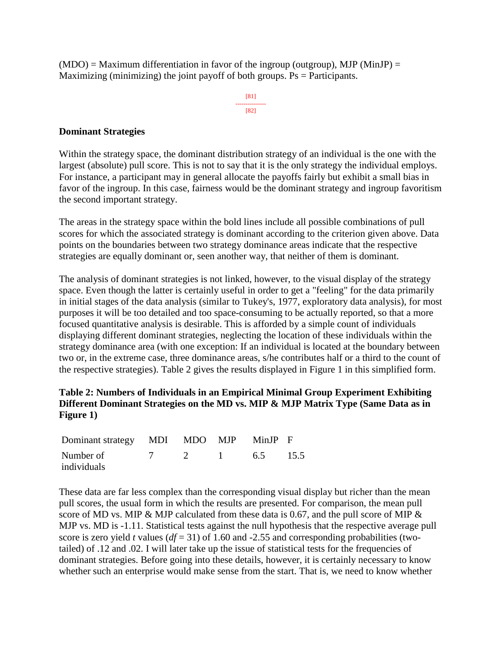$(MDO) = Maximum$  differentiation in favor of the ingroup (outgroup), MJP (MinJP) = Maximizing (minimizing) the joint payoff of both groups.  $Ps = Participants$ .

> [81] --------------- [82]

#### **Dominant Strategies**

Within the strategy space, the dominant distribution strategy of an individual is the one with the largest (absolute) pull score. This is not to say that it is the only strategy the individual employs. For instance, a participant may in general allocate the payoffs fairly but exhibit a small bias in favor of the ingroup. In this case, fairness would be the dominant strategy and ingroup favoritism the second important strategy.

The areas in the strategy space within the bold lines include all possible combinations of pull scores for which the associated strategy is dominant according to the criterion given above. Data points on the boundaries between two strategy dominance areas indicate that the respective strategies are equally dominant or, seen another way, that neither of them is dominant.

The analysis of dominant strategies is not linked, however, to the visual display of the strategy space. Even though the latter is certainly useful in order to get a "feeling" for the data primarily in initial stages of the data analysis (similar to Tukey's, 1977, exploratory data analysis), for most purposes it will be too detailed and too space-consuming to be actually reported, so that a more focused quantitative analysis is desirable. This is afforded by a simple count of individuals displaying different dominant strategies, neglecting the location of these individuals within the strategy dominance area (with one exception: If an individual is located at the boundary between two or, in the extreme case, three dominance areas, s/he contributes half or a third to the count of the respective strategies). Table 2 gives the results displayed in Figure 1 in this simplified form.

# **Table 2: Numbers of Individuals in an Empirical Minimal Group Experiment Exhibiting Different Dominant Strategies on the MD vs. MIP & MJP Matrix Type (Same Data as in Figure 1)**

| Dominant strategy MDI MDO MJP MinJP F |          |  |            |  |
|---------------------------------------|----------|--|------------|--|
| Number of                             | <u>2</u> |  | 1 6.5 15.5 |  |
| individuals                           |          |  |            |  |

These data are far less complex than the corresponding visual display but richer than the mean pull scores, the usual form in which the results are presented. For comparison, the mean pull score of MD vs. MIP & MJP calculated from these data is 0.67, and the pull score of MIP & MJP vs. MD is -1.11. Statistical tests against the null hypothesis that the respective average pull score is zero yield *t* values ( $df = 31$ ) of 1.60 and -2.55 and corresponding probabilities (twotailed) of .12 and .02. I will later take up the issue of statistical tests for the frequencies of dominant strategies. Before going into these details, however, it is certainly necessary to know whether such an enterprise would make sense from the start. That is, we need to know whether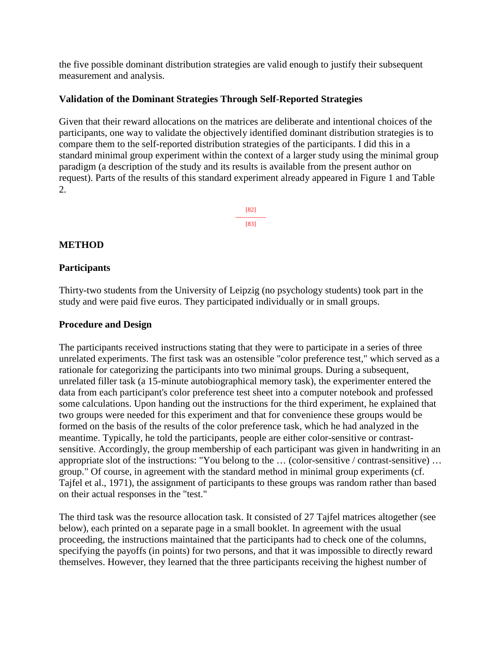the five possible dominant distribution strategies are valid enough to justify their subsequent measurement and analysis.

# **Validation of the Dominant Strategies Through Self-Reported Strategies**

Given that their reward allocations on the matrices are deliberate and intentional choices of the participants, one way to validate the objectively identified dominant distribution strategies is to compare them to the self-reported distribution strategies of the participants. I did this in a standard minimal group experiment within the context of a larger study using the minimal group paradigm (a description of the study and its results is available from the present author on request). Parts of the results of this standard experiment already appeared in Figure 1 and Table 2.

> [82] --------------- [83]

# **METHOD**

#### **Participants**

Thirty-two students from the University of Leipzig (no psychology students) took part in the study and were paid five euros. They participated individually or in small groups.

#### **Procedure and Design**

The participants received instructions stating that they were to participate in a series of three unrelated experiments. The first task was an ostensible "color preference test," which served as a rationale for categorizing the participants into two minimal groups. During a subsequent, unrelated filler task (a 15-minute autobiographical memory task), the experimenter entered the data from each participant's color preference test sheet into a computer notebook and professed some calculations. Upon handing out the instructions for the third experiment, he explained that two groups were needed for this experiment and that for convenience these groups would be formed on the basis of the results of the color preference task, which he had analyzed in the meantime. Typically, he told the participants, people are either color-sensitive or contrastsensitive. Accordingly, the group membership of each participant was given in handwriting in an appropriate slot of the instructions: "You belong to the … (color-sensitive / contrast-sensitive) … group." Of course, in agreement with the standard method in minimal group experiments (cf. Tajfel et al., 1971), the assignment of participants to these groups was random rather than based on their actual responses in the "test."

The third task was the resource allocation task. It consisted of 27 Tajfel matrices altogether (see below), each printed on a separate page in a small booklet. In agreement with the usual proceeding, the instructions maintained that the participants had to check one of the columns, specifying the payoffs (in points) for two persons, and that it was impossible to directly reward themselves. However, they learned that the three participants receiving the highest number of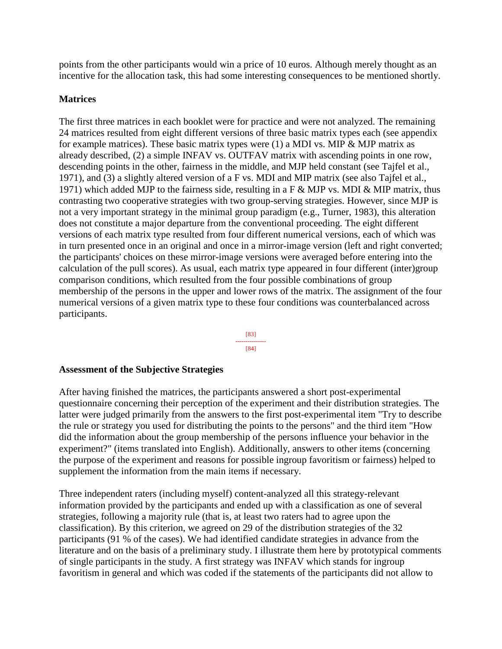points from the other participants would win a price of 10 euros. Although merely thought as an incentive for the allocation task, this had some interesting consequences to be mentioned shortly.

#### **Matrices**

The first three matrices in each booklet were for practice and were not analyzed. The remaining 24 matrices resulted from eight different versions of three basic matrix types each (see appendix for example matrices). These basic matrix types were  $(1)$  a MDI vs. MIP & MJP matrix as already described, (2) a simple INFAV vs. OUTFAV matrix with ascending points in one row, descending points in the other, fairness in the middle, and MJP held constant (see Tajfel et al., 1971), and (3) a slightly altered version of a F vs. MDI and MIP matrix (see also Tajfel et al., 1971) which added MJP to the fairness side, resulting in a F & MJP vs. MDI & MIP matrix, thus contrasting two cooperative strategies with two group-serving strategies. However, since MJP is not a very important strategy in the minimal group paradigm (e.g., Turner, 1983), this alteration does not constitute a major departure from the conventional proceeding. The eight different versions of each matrix type resulted from four different numerical versions, each of which was in turn presented once in an original and once in a mirror-image version (left and right converted; the participants' choices on these mirror-image versions were averaged before entering into the calculation of the pull scores). As usual, each matrix type appeared in four different (inter)group comparison conditions, which resulted from the four possible combinations of group membership of the persons in the upper and lower rows of the matrix. The assignment of the four numerical versions of a given matrix type to these four conditions was counterbalanced across participants.



# **Assessment of the Subjective Strategies**

After having finished the matrices, the participants answered a short post-experimental questionnaire concerning their perception of the experiment and their distribution strategies. The latter were judged primarily from the answers to the first post-experimental item "Try to describe the rule or strategy you used for distributing the points to the persons" and the third item "How did the information about the group membership of the persons influence your behavior in the experiment?" (items translated into English). Additionally, answers to other items (concerning the purpose of the experiment and reasons for possible ingroup favoritism or fairness) helped to supplement the information from the main items if necessary.

Three independent raters (including myself) content-analyzed all this strategy-relevant information provided by the participants and ended up with a classification as one of several strategies, following a majority rule (that is, at least two raters had to agree upon the classification). By this criterion, we agreed on 29 of the distribution strategies of the 32 participants (91 % of the cases). We had identified candidate strategies in advance from the literature and on the basis of a preliminary study. I illustrate them here by prototypical comments of single participants in the study. A first strategy was INFAV which stands for ingroup favoritism in general and which was coded if the statements of the participants did not allow to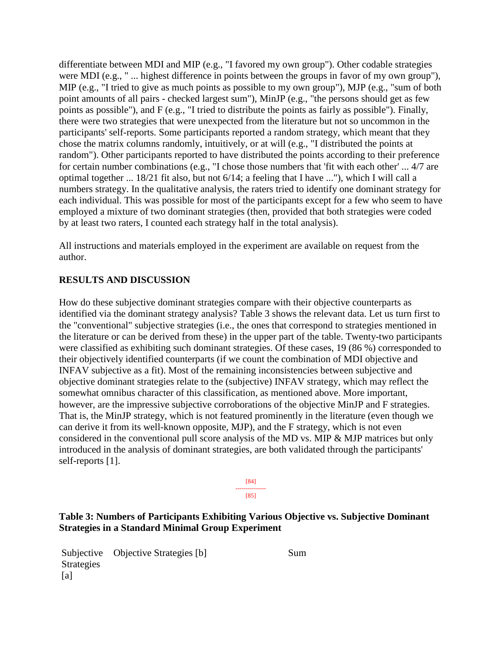differentiate between MDI and MIP (e.g., "I favored my own group"). Other codable strategies were MDI (e.g., " ... highest difference in points between the groups in favor of my own group"). MIP (e.g., "I tried to give as much points as possible to my own group"), MJP (e.g., "sum of both point amounts of all pairs - checked largest sum"), MinJP (e.g., "the persons should get as few points as possible"), and F (e.g., "I tried to distribute the points as fairly as possible"). Finally, there were two strategies that were unexpected from the literature but not so uncommon in the participants' self-reports. Some participants reported a random strategy, which meant that they chose the matrix columns randomly, intuitively, or at will (e.g., "I distributed the points at random"). Other participants reported to have distributed the points according to their preference for certain number combinations (e.g., "I chose those numbers that 'fit with each other' ... 4/7 are optimal together ... 18/21 fit also, but not 6/14; a feeling that I have ..."), which I will call a numbers strategy. In the qualitative analysis, the raters tried to identify one dominant strategy for each individual. This was possible for most of the participants except for a few who seem to have employed a mixture of two dominant strategies (then, provided that both strategies were coded by at least two raters, I counted each strategy half in the total analysis).

All instructions and materials employed in the experiment are available on request from the author.

#### **RESULTS AND DISCUSSION**

How do these subjective dominant strategies compare with their objective counterparts as identified via the dominant strategy analysis? Table 3 shows the relevant data. Let us turn first to the "conventional" subjective strategies (i.e., the ones that correspond to strategies mentioned in the literature or can be derived from these) in the upper part of the table. Twenty-two participants were classified as exhibiting such dominant strategies. Of these cases, 19 (86 %) corresponded to their objectively identified counterparts (if we count the combination of MDI objective and INFAV subjective as a fit). Most of the remaining inconsistencies between subjective and objective dominant strategies relate to the (subjective) INFAV strategy, which may reflect the somewhat omnibus character of this classification, as mentioned above. More important, however, are the impressive subjective corroborations of the objective MinJP and F strategies. That is, the MinJP strategy, which is not featured prominently in the literature (even though we can derive it from its well-known opposite, MJP), and the F strategy, which is not even considered in the conventional pull score analysis of the MD vs. MIP & MJP matrices but only introduced in the analysis of dominant strategies, are both validated through the participants' self-reports [1].

> [84] --------------- [85]

# **Table 3: Numbers of Participants Exhibiting Various Objective vs. Subjective Dominant Strategies in a Standard Minimal Group Experiment**

Subjective **Strategies** [a] Objective Strategies [b] Sum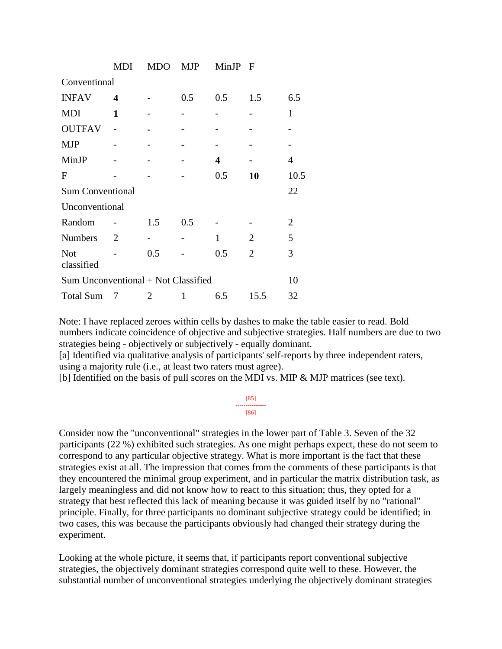|                                     | MDI | <b>MDO</b> | MJP | MinJP | $\mathbf F$    |                |
|-------------------------------------|-----|------------|-----|-------|----------------|----------------|
| Conventional                        |     |            |     |       |                |                |
| <b>INFAV</b>                        | 4   |            | 0.5 | 0.5   | 1.5            | 6.5            |
| <b>MDI</b>                          | 1   |            |     |       |                | $\mathbf{1}$   |
| <b>OUTFAV</b>                       |     |            |     |       |                |                |
| <b>MJP</b>                          |     |            |     |       |                |                |
| MinJP                               |     |            |     | 4     |                | 4              |
| $\mathbf{F}$                        |     |            |     | 0.5   | 10             | 10.5           |
| <b>Sum Conventional</b>             |     |            |     |       |                | 22             |
| Unconventional                      |     |            |     |       |                |                |
| Random                              |     | 1.5        | 0.5 |       |                | $\overline{2}$ |
| <b>Numbers</b>                      | 2   |            |     | 1     | $\overline{2}$ | 5              |
| <b>Not</b><br>classified            |     | 0.5        |     | 0.5   | $\overline{2}$ | 3              |
| Sum Unconventional + Not Classified |     |            |     |       |                | 10             |
| <b>Total Sum</b>                    | 7   | 2          | 1   | 6.5   | 15.5           | 32             |

Note: I have replaced zeroes within cells by dashes to make the table easier to read. Bold numbers indicate coincidence of objective and subjective strategies. Half numbers are due to two strategies being - objectively or subjectively - equally dominant.

[a] Identified via qualitative analysis of participants' self-reports by three independent raters, using a majority rule (i.e., at least two raters must agree).

[b] Identified on the basis of pull scores on the MDI vs. MIP & MJP matrices (see text).

| ×S.                                                                                                                                   |  |
|---------------------------------------------------------------------------------------------------------------------------------------|--|
| <b>X</b> K<br>$\mathcal{L}(\mathcal{L})$ and $\mathcal{L}(\mathcal{L})$ and $\mathcal{L}(\mathcal{L})$ and $\mathcal{L}(\mathcal{L})$ |  |

Consider now the "unconventional" strategies in the lower part of Table 3. Seven of the 32 participants (22 %) exhibited such strategies. As one might perhaps expect, these do not seem to correspond to any particular objective strategy. What is more important is the fact that these strategies exist at all. The impression that comes from the comments of these participants is that they encountered the minimal group experiment, and in particular the matrix distribution task, as largely meaningless and did not know how to react to this situation; thus, they opted for a strategy that best reflected this lack of meaning because it was guided itself by no "rational" principle. Finally, for three participants no dominant subjective strategy could be identified; in two cases, this was because the participants obviously had changed their strategy during the experiment.

Looking at the whole picture, it seems that, if participants report conventional subjective strategies, the objectively dominant strategies correspond quite well to these. However, the substantial number of unconventional strategies underlying the objectively dominant strategies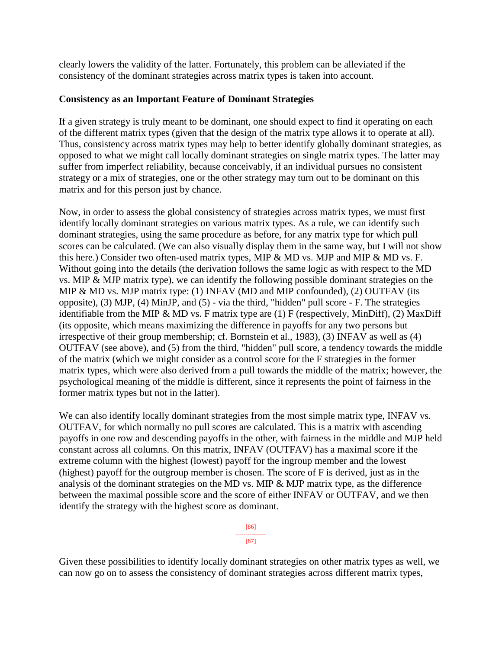clearly lowers the validity of the latter. Fortunately, this problem can be alleviated if the consistency of the dominant strategies across matrix types is taken into account.

#### **Consistency as an Important Feature of Dominant Strategies**

If a given strategy is truly meant to be dominant, one should expect to find it operating on each of the different matrix types (given that the design of the matrix type allows it to operate at all). Thus, consistency across matrix types may help to better identify globally dominant strategies, as opposed to what we might call locally dominant strategies on single matrix types. The latter may suffer from imperfect reliability, because conceivably, if an individual pursues no consistent strategy or a mix of strategies, one or the other strategy may turn out to be dominant on this matrix and for this person just by chance.

Now, in order to assess the global consistency of strategies across matrix types, we must first identify locally dominant strategies on various matrix types. As a rule, we can identify such dominant strategies, using the same procedure as before, for any matrix type for which pull scores can be calculated. (We can also visually display them in the same way, but I will not show this here.) Consider two often-used matrix types, MIP  $\&$  MD vs. MJP and MIP  $\&$  MD vs. F. Without going into the details (the derivation follows the same logic as with respect to the MD vs. MIP & MJP matrix type), we can identify the following possible dominant strategies on the MIP & MD vs. MJP matrix type: (1) INFAV (MD and MIP confounded), (2) OUTFAV (its opposite), (3) MJP, (4) MinJP, and (5) - via the third, "hidden" pull score - F. The strategies identifiable from the MIP & MD vs. F matrix type are (1) F (respectively, MinDiff), (2) MaxDiff (its opposite, which means maximizing the difference in payoffs for any two persons but irrespective of their group membership; cf. Bornstein et al., 1983), (3) INFAV as well as (4) OUTFAV (see above), and (5) from the third, "hidden" pull score, a tendency towards the middle of the matrix (which we might consider as a control score for the F strategies in the former matrix types, which were also derived from a pull towards the middle of the matrix; however, the psychological meaning of the middle is different, since it represents the point of fairness in the former matrix types but not in the latter).

We can also identify locally dominant strategies from the most simple matrix type, INFAV vs. OUTFAV, for which normally no pull scores are calculated. This is a matrix with ascending payoffs in one row and descending payoffs in the other, with fairness in the middle and MJP held constant across all columns. On this matrix, INFAV (OUTFAV) has a maximal score if the extreme column with the highest (lowest) payoff for the ingroup member and the lowest (highest) payoff for the outgroup member is chosen. The score of F is derived, just as in the analysis of the dominant strategies on the MD vs. MIP & MJP matrix type, as the difference between the maximal possible score and the score of either INFAV or OUTFAV, and we then identify the strategy with the highest score as dominant.

> [86] --------------- [87]

Given these possibilities to identify locally dominant strategies on other matrix types as well, we can now go on to assess the consistency of dominant strategies across different matrix types,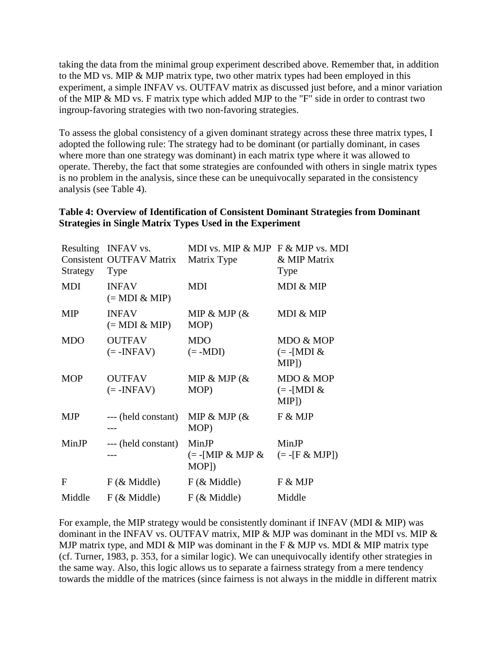taking the data from the minimal group experiment described above. Remember that, in addition to the MD vs. MIP & MJP matrix type, two other matrix types had been employed in this experiment, a simple INFAV vs. OUTFAV matrix as discussed just before, and a minor variation of the MIP & MD vs. F matrix type which added MJP to the "F" side in order to contrast two ingroup-favoring strategies with two non-favoring strategies.

To assess the global consistency of a given dominant strategy across these three matrix types, I adopted the following rule: The strategy had to be dominant (or partially dominant, in cases where more than one strategy was dominant) in each matrix type where it was allowed to operate. Thereby, the fact that some strategies are confounded with others in single matrix types is no problem in the analysis, since these can be unequivocally separated in the consistency analysis (see Table 4).

# **Table 4: Overview of Identification of Consistent Dominant Strategies from Dominant Strategies in Single Matrix Types Used in the Experiment**

| Strategy   | Resulting INFAV vs.<br><b>Consistent OUTFAV Matrix</b><br>Type | MDI vs. MIP & MJP F & MJP vs. MDI<br>Matrix Type | & MIP Matrix<br>Type                         |
|------------|----------------------------------------------------------------|--------------------------------------------------|----------------------------------------------|
| MDI        | <b>INFAV</b><br>$(= MDI & MP)$                                 | MDI                                              | MDI & MIP                                    |
| <b>MIP</b> | <b>INFAV</b><br>$(=\text{MDI} \& \text{MIP})$                  | MIP & MJP $(\&$<br>MOP)                          | MDI & MIP                                    |
| <b>MDO</b> | <b>OUTFAV</b><br>$(=\text{-INFAV})$                            | <b>MDO</b><br>$(= -MDI)$                         | MDO & MOP<br>$(=\text{-}[MDI \&$<br>$MIP$ ]) |
| <b>MOP</b> | <b>OUTFAV</b><br>$(=\text{-INFAV})$                            | MIP & MJP $(\&$<br>MOP)                          | MDO & MOP<br>$(=\text{-}[MDI \&$<br>$MIP$ ]) |
| <b>MJP</b> | --- (held constant)                                            | MIP & MJP $(\&$<br>MOP)                          | F & MJP                                      |
| MinJP      | --- (held constant)                                            | MinJP<br>$(= -[MIP \& MJP \&$<br>MOP])           | MinJP<br>$(= -[F & MJP])$                    |
| F          | $F$ ( $\&$ Middle)                                             | $F$ ( $\&$ Middle)                               | F & MJP                                      |
| Middle     | $F$ ( $\&$ Middle)                                             | $F$ ( $\&$ Middle)                               | Middle                                       |

For example, the MIP strategy would be consistently dominant if INFAV (MDI & MIP) was dominant in the INFAV vs. OUTFAV matrix, MIP & MJP was dominant in the MDI vs. MIP & MJP matrix type, and MDI & MIP was dominant in the F & MJP vs. MDI & MIP matrix type (cf. Turner, 1983, p. 353, for a similar logic). We can unequivocally identify other strategies in the same way. Also, this logic allows us to separate a fairness strategy from a mere tendency towards the middle of the matrices (since fairness is not always in the middle in different matrix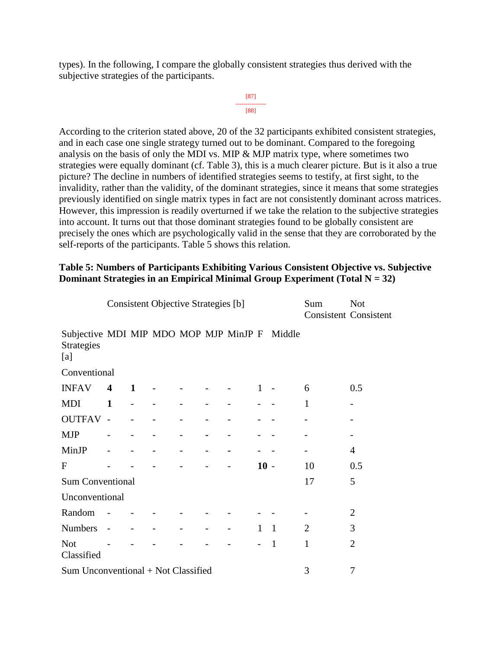types). In the following, I compare the globally consistent strategies thus derived with the subjective strategies of the participants.

```
[87]
---------------
    [88]
```
According to the criterion stated above, 20 of the 32 participants exhibited consistent strategies, and in each case one single strategy turned out to be dominant. Compared to the foregoing analysis on the basis of only the MDI vs. MIP & MJP matrix type, where sometimes two strategies were equally dominant (cf. Table 3), this is a much clearer picture. But is it also a true picture? The decline in numbers of identified strategies seems to testify, at first sight, to the invalidity, rather than the validity, of the dominant strategies, since it means that some strategies previously identified on single matrix types in fact are not consistently dominant across matrices. However, this impression is readily overturned if we take the relation to the subjective strategies into account. It turns out that those dominant strategies found to be globally consistent are precisely the ones which are psychologically valid in the sense that they are corroborated by the self-reports of the participants. Table 5 shows this relation.

#### **Table 5: Numbers of Participants Exhibiting Various Consistent Objective vs. Subjective Dominant Strategies in an Empirical Minimal Group Experiment (Total N = 32)**

|                                                                    |                   |   | <b>Consistent Objective Strategies [b]</b> |  |              |              | Sum            | <b>Not</b><br><b>Consistent Consistent</b> |
|--------------------------------------------------------------------|-------------------|---|--------------------------------------------|--|--------------|--------------|----------------|--------------------------------------------|
| Subjective MDI MIP MDO MOP MJP MinJP F<br><b>Strategies</b><br>[a] |                   |   |                                            |  |              | Middle       |                |                                            |
| Conventional                                                       |                   |   |                                            |  |              |              |                |                                            |
| <b>INFAV</b>                                                       | 4                 | 1 |                                            |  | 1            |              | 6              | 0.5                                        |
| <b>MDI</b>                                                         | $\mathbf{1}$      |   |                                            |  |              |              | $\mathbf{1}$   |                                            |
| <b>OUTFAV -</b>                                                    |                   |   |                                            |  |              |              |                |                                            |
| <b>MJP</b>                                                         |                   |   |                                            |  |              |              |                |                                            |
| MinJP                                                              |                   |   |                                            |  |              |              |                | 4                                          |
| F                                                                  |                   |   |                                            |  | $10 -$       |              | 10             | 0.5                                        |
| <b>Sum Conventional</b>                                            |                   |   |                                            |  |              |              | 17             | 5                                          |
| Unconventional                                                     |                   |   |                                            |  |              |              |                |                                            |
| Random                                                             |                   |   |                                            |  |              |              |                | $\overline{2}$                             |
| <b>Numbers</b>                                                     | $\qquad \qquad -$ |   |                                            |  | $\mathbf{1}$ | $\mathbf{1}$ | $\overline{2}$ | 3                                          |
| <b>Not</b><br>Classified                                           |                   |   |                                            |  |              | $\mathbf{1}$ | $\mathbf{1}$   | $\overline{2}$                             |
| Sum Unconventional + Not Classified                                |                   |   |                                            |  |              |              | 3              | 7                                          |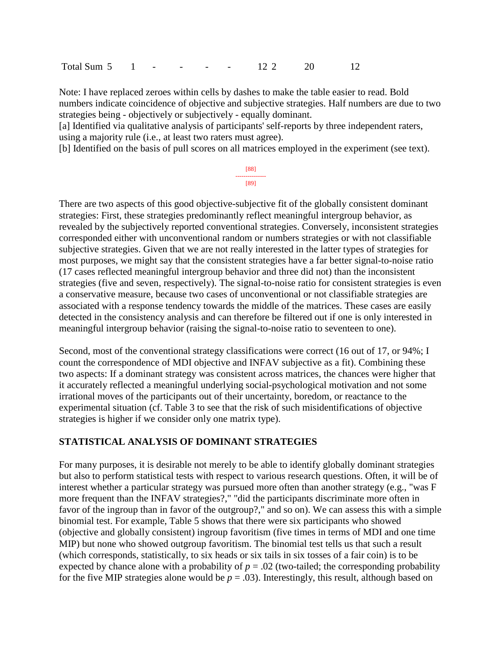Total Sum 5 1 - - - - 12 2 20 12

Note: I have replaced zeroes within cells by dashes to make the table easier to read. Bold numbers indicate coincidence of objective and subjective strategies. Half numbers are due to two strategies being - objectively or subjectively - equally dominant.

[a] Identified via qualitative analysis of participants' self-reports by three independent raters, using a majority rule (i.e., at least two raters must agree).

[b] Identified on the basis of pull scores on all matrices employed in the experiment (see text).

[88] --------------- [89]

There are two aspects of this good objective-subjective fit of the globally consistent dominant strategies: First, these strategies predominantly reflect meaningful intergroup behavior, as revealed by the subjectively reported conventional strategies. Conversely, inconsistent strategies corresponded either with unconventional random or numbers strategies or with not classifiable subjective strategies. Given that we are not really interested in the latter types of strategies for most purposes, we might say that the consistent strategies have a far better signal-to-noise ratio (17 cases reflected meaningful intergroup behavior and three did not) than the inconsistent strategies (five and seven, respectively). The signal-to-noise ratio for consistent strategies is even a conservative measure, because two cases of unconventional or not classifiable strategies are associated with a response tendency towards the middle of the matrices. These cases are easily detected in the consistency analysis and can therefore be filtered out if one is only interested in meaningful intergroup behavior (raising the signal-to-noise ratio to seventeen to one).

Second, most of the conventional strategy classifications were correct (16 out of 17, or 94%; I count the correspondence of MDI objective and INFAV subjective as a fit). Combining these two aspects: If a dominant strategy was consistent across matrices, the chances were higher that it accurately reflected a meaningful underlying social-psychological motivation and not some irrational moves of the participants out of their uncertainty, boredom, or reactance to the experimental situation (cf. Table 3 to see that the risk of such misidentifications of objective strategies is higher if we consider only one matrix type).

#### **STATISTICAL ANALYSIS OF DOMINANT STRATEGIES**

For many purposes, it is desirable not merely to be able to identify globally dominant strategies but also to perform statistical tests with respect to various research questions. Often, it will be of interest whether a particular strategy was pursued more often than another strategy (e.g., "was F more frequent than the INFAV strategies?," "did the participants discriminate more often in favor of the ingroup than in favor of the outgroup?," and so on). We can assess this with a simple binomial test. For example, Table 5 shows that there were six participants who showed (objective and globally consistent) ingroup favoritism (five times in terms of MDI and one time MIP) but none who showed outgroup favoritism. The binomial test tells us that such a result (which corresponds, statistically, to six heads or six tails in six tosses of a fair coin) is to be expected by chance alone with a probability of  $p = .02$  (two-tailed; the corresponding probability for the five MIP strategies alone would be  $p = .03$ ). Interestingly, this result, although based on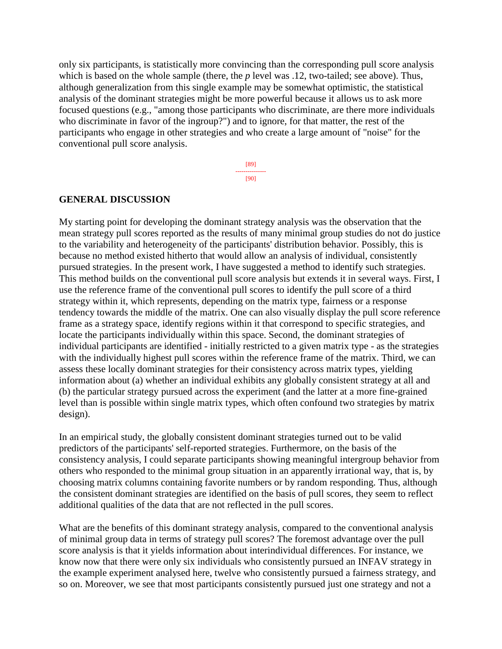only six participants, is statistically more convincing than the corresponding pull score analysis which is based on the whole sample (there, the *p* level was .12, two-tailed; see above). Thus, although generalization from this single example may be somewhat optimistic, the statistical analysis of the dominant strategies might be more powerful because it allows us to ask more focused questions (e.g., "among those participants who discriminate, are there more individuals who discriminate in favor of the ingroup?") and to ignore, for that matter, the rest of the participants who engage in other strategies and who create a large amount of "noise" for the conventional pull score analysis.

> [89] --------------- [90]

#### **GENERAL DISCUSSION**

My starting point for developing the dominant strategy analysis was the observation that the mean strategy pull scores reported as the results of many minimal group studies do not do justice to the variability and heterogeneity of the participants' distribution behavior. Possibly, this is because no method existed hitherto that would allow an analysis of individual, consistently pursued strategies. In the present work, I have suggested a method to identify such strategies. This method builds on the conventional pull score analysis but extends it in several ways. First, I use the reference frame of the conventional pull scores to identify the pull score of a third strategy within it, which represents, depending on the matrix type, fairness or a response tendency towards the middle of the matrix. One can also visually display the pull score reference frame as a strategy space, identify regions within it that correspond to specific strategies, and locate the participants individually within this space. Second, the dominant strategies of individual participants are identified - initially restricted to a given matrix type - as the strategies with the individually highest pull scores within the reference frame of the matrix. Third, we can assess these locally dominant strategies for their consistency across matrix types, yielding information about (a) whether an individual exhibits any globally consistent strategy at all and (b) the particular strategy pursued across the experiment (and the latter at a more fine-grained level than is possible within single matrix types, which often confound two strategies by matrix design).

In an empirical study, the globally consistent dominant strategies turned out to be valid predictors of the participants' self-reported strategies. Furthermore, on the basis of the consistency analysis, I could separate participants showing meaningful intergroup behavior from others who responded to the minimal group situation in an apparently irrational way, that is, by choosing matrix columns containing favorite numbers or by random responding. Thus, although the consistent dominant strategies are identified on the basis of pull scores, they seem to reflect additional qualities of the data that are not reflected in the pull scores.

What are the benefits of this dominant strategy analysis, compared to the conventional analysis of minimal group data in terms of strategy pull scores? The foremost advantage over the pull score analysis is that it yields information about interindividual differences. For instance, we know now that there were only six individuals who consistently pursued an INFAV strategy in the example experiment analysed here, twelve who consistently pursued a fairness strategy, and so on. Moreover, we see that most participants consistently pursued just one strategy and not a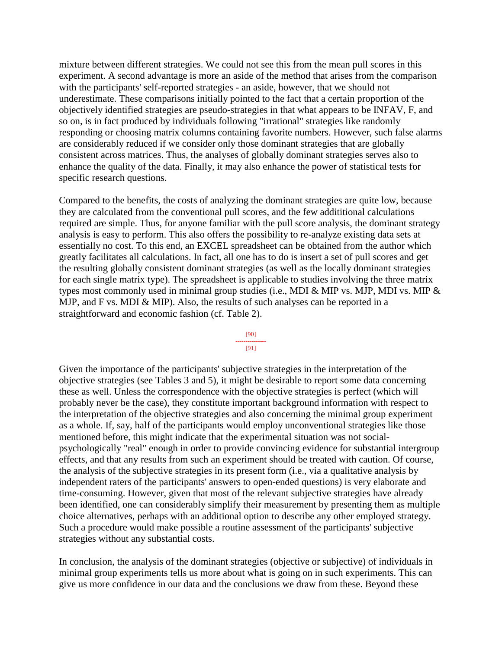mixture between different strategies. We could not see this from the mean pull scores in this experiment. A second advantage is more an aside of the method that arises from the comparison with the participants' self-reported strategies - an aside, however, that we should not underestimate. These comparisons initially pointed to the fact that a certain proportion of the objectively identified strategies are pseudo-strategies in that what appears to be INFAV, F, and so on, is in fact produced by individuals following "irrational" strategies like randomly responding or choosing matrix columns containing favorite numbers. However, such false alarms are considerably reduced if we consider only those dominant strategies that are globally consistent across matrices. Thus, the analyses of globally dominant strategies serves also to enhance the quality of the data. Finally, it may also enhance the power of statistical tests for specific research questions.

Compared to the benefits, the costs of analyzing the dominant strategies are quite low, because they are calculated from the conventional pull scores, and the few addititional calculations required are simple. Thus, for anyone familiar with the pull score analysis, the dominant strategy analysis is easy to perform. This also offers the possibility to re-analyze existing data sets at essentially no cost. To this end, an EXCEL spreadsheet can be obtained from the author which greatly facilitates all calculations. In fact, all one has to do is insert a set of pull scores and get the resulting globally consistent dominant strategies (as well as the locally dominant strategies for each single matrix type). The spreadsheet is applicable to studies involving the three matrix types most commonly used in minimal group studies (i.e., MDI & MIP vs. MJP, MDI vs. MIP & MJP, and F vs. MDI & MIP). Also, the results of such analyses can be reported in a straightforward and economic fashion (cf. Table 2).

> [90] ---------------

[91]

Given the importance of the participants' subjective strategies in the interpretation of the objective strategies (see Tables 3 and 5), it might be desirable to report some data concerning these as well. Unless the correspondence with the objective strategies is perfect (which will probably never be the case), they constitute important background information with respect to the interpretation of the objective strategies and also concerning the minimal group experiment as a whole. If, say, half of the participants would employ unconventional strategies like those mentioned before, this might indicate that the experimental situation was not socialpsychologically "real" enough in order to provide convincing evidence for substantial intergroup effects, and that any results from such an experiment should be treated with caution. Of course, the analysis of the subjective strategies in its present form (i.e., via a qualitative analysis by independent raters of the participants' answers to open-ended questions) is very elaborate and time-consuming. However, given that most of the relevant subjective strategies have already been identified, one can considerably simplify their measurement by presenting them as multiple choice alternatives, perhaps with an additional option to describe any other employed strategy. Such a procedure would make possible a routine assessment of the participants' subjective strategies without any substantial costs.

In conclusion, the analysis of the dominant strategies (objective or subjective) of individuals in minimal group experiments tells us more about what is going on in such experiments. This can give us more confidence in our data and the conclusions we draw from these. Beyond these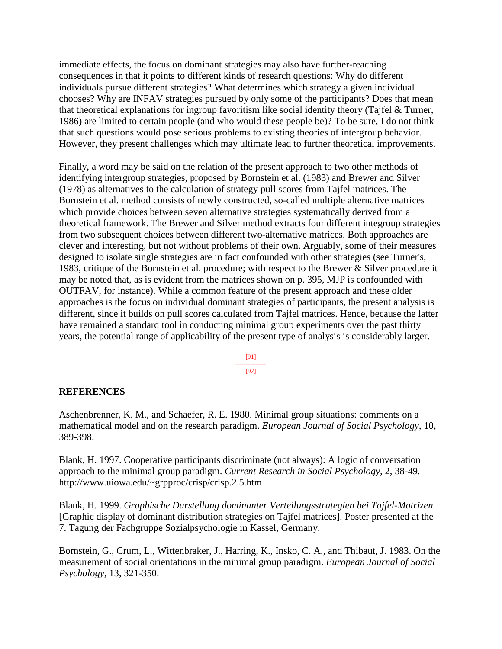immediate effects, the focus on dominant strategies may also have further-reaching consequences in that it points to different kinds of research questions: Why do different individuals pursue different strategies? What determines which strategy a given individual chooses? Why are INFAV strategies pursued by only some of the participants? Does that mean that theoretical explanations for ingroup favoritism like social identity theory (Tajfel & Turner, 1986) are limited to certain people (and who would these people be)? To be sure, I do not think that such questions would pose serious problems to existing theories of intergroup behavior. However, they present challenges which may ultimate lead to further theoretical improvements.

Finally, a word may be said on the relation of the present approach to two other methods of identifying intergroup strategies, proposed by Bornstein et al. (1983) and Brewer and Silver (1978) as alternatives to the calculation of strategy pull scores from Tajfel matrices. The Bornstein et al. method consists of newly constructed, so-called multiple alternative matrices which provide choices between seven alternative strategies systematically derived from a theoretical framework. The Brewer and Silver method extracts four different integroup strategies from two subsequent choices between different two-alternative matrices. Both approaches are clever and interesting, but not without problems of their own. Arguably, some of their measures designed to isolate single strategies are in fact confounded with other strategies (see Turner's, 1983, critique of the Bornstein et al. procedure; with respect to the Brewer & Silver procedure it may be noted that, as is evident from the matrices shown on p. 395, MJP is confounded with OUTFAV, for instance). While a common feature of the present approach and these older approaches is the focus on individual dominant strategies of participants, the present analysis is different, since it builds on pull scores calculated from Tajfel matrices. Hence, because the latter have remained a standard tool in conducting minimal group experiments over the past thirty years, the potential range of applicability of the present type of analysis is considerably larger.

> [91] --------------- [92]

#### **REFERENCES**

Aschenbrenner, K. M., and Schaefer, R. E. 1980. Minimal group situations: comments on a mathematical model and on the research paradigm. *European Journal of Social Psychology,* 10, 389-398.

Blank, H. 1997. Cooperative participants discriminate (not always): A logic of conversation approach to the minimal group paradigm. *Current Research in Social Psychology,* 2, 38-49. http://www.uiowa.edu/~grpproc/crisp/crisp.2.5.htm

Blank, H. 1999. *Graphische Darstellung dominanter Verteilungsstrategien bei Tajfel-Matrizen* [Graphic display of dominant distribution strategies on Tajfel matrices]. Poster presented at the 7. Tagung der Fachgruppe Sozialpsychologie in Kassel, Germany.

Bornstein, G., Crum, L., Wittenbraker, J., Harring, K., Insko, C. A., and Thibaut, J. 1983. On the measurement of social orientations in the minimal group paradigm. *European Journal of Social Psychology,* 13, 321-350.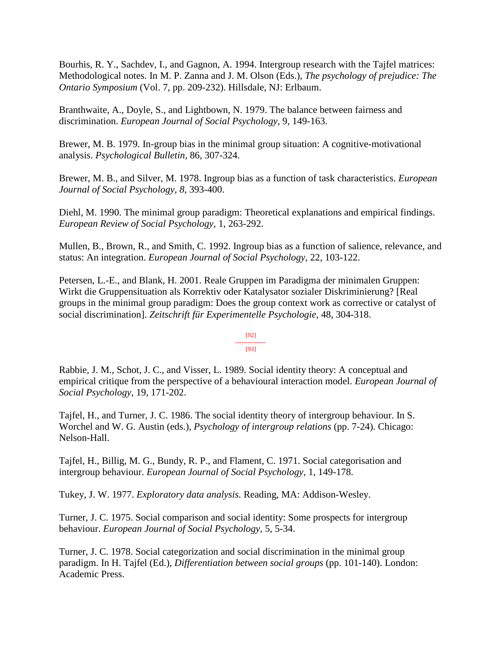Bourhis, R. Y., Sachdev, I., and Gagnon, A. 1994. Intergroup research with the Tajfel matrices: Methodological notes. In M. P. Zanna and J. M. Olson (Eds.), *The psychology of prejudice: The Ontario Symposium* (Vol. 7, pp. 209-232). Hillsdale, NJ: Erlbaum.

Branthwaite, A., Doyle, S., and Lightbown, N. 1979. The balance between fairness and discrimination. *European Journal of Social Psychology*, 9, 149-163.

Brewer, M. B. 1979. In-group bias in the minimal group situation: A cognitive-motivational analysis. *Psychological Bulletin,* 86, 307-324.

Brewer, M. B., and Silver, M. 1978. Ingroup bias as a function of task characteristics. *European Journal of Social Psychology, 8,* 393-400.

Diehl, M. 1990. The minimal group paradigm: Theoretical explanations and empirical findings. *European Review of Social Psychology,* 1, 263-292.

Mullen, B., Brown, R., and Smith, C. 1992. Ingroup bias as a function of salience, relevance, and status: An integration. *European Journal of Social Psychology*, 22, 103-122.

Petersen, L.-E., and Blank, H. 2001. Reale Gruppen im Paradigma der minimalen Gruppen: Wirkt die Gruppensituation als Korrektiv oder Katalysator sozialer Diskriminierung? [Real groups in the minimal group paradigm: Does the group context work as corrective or catalyst of social discrimination]. *Zeitschrift für Experimentelle Psychologie,* 48, 304-318.

#### [92] --------------- [93]

Rabbie, J. M., Schot, J. C., and Visser, L. 1989. Social identity theory: A conceptual and empirical critique from the perspective of a behavioural interaction model. *European Journal of Social Psychology,* 19, 171-202.

Tajfel, H., and Turner, J. C. 1986. The social identity theory of intergroup behaviour. In S. Worchel and W. G. Austin (eds.), *Psychology of intergroup relations* (pp. 7-24). Chicago: Nelson-Hall.

Tajfel, H., Billig, M. G., Bundy, R. P., and Flament, C. 1971. Social categorisation and intergroup behaviour. *European Journal of Social Psychology,* 1, 149-178.

Tukey, J. W. 1977. *Exploratory data analysis.* Reading, MA: Addison-Wesley.

Turner, J. C. 1975. Social comparison and social identity: Some prospects for intergroup behaviour. *European Journal of Social Psychology,* 5, 5-34.

Turner, J. C. 1978. Social categorization and social discrimination in the minimal group paradigm. In H. Tajfel (Ed.), *Differentiation between social groups* (pp. 101-140). London: Academic Press.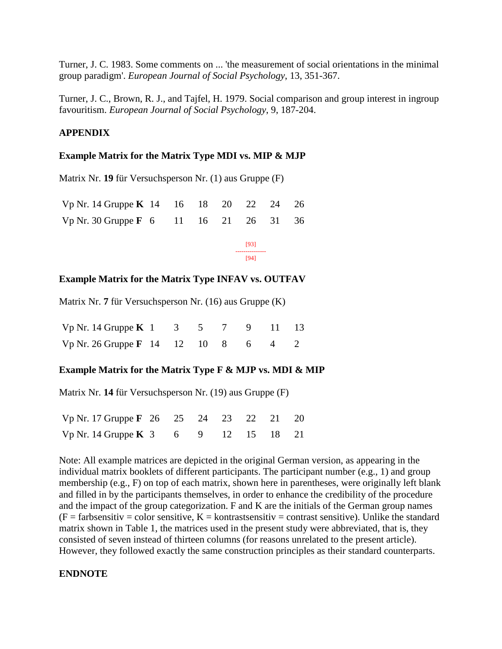Turner, J. C. 1983. Some comments on ... 'the measurement of social orientations in the minimal group paradigm'. *European Journal of Social Psychology*, 13, 351-367.

Turner, J. C., Brown, R. J., and Tajfel, H. 1979. Social comparison and group interest in ingroup favouritism. *European Journal of Social Psychology*, 9, 187-204.

#### **APPENDIX**

#### **Example Matrix for the Matrix Type MDI vs. MIP & MJP**

Matrix Nr. **19** für Versuchsperson Nr. (1) aus Gruppe (F)

| Vp Nr. 14 Gruppe K 14 16 18 20 22 24 26 |  |  |  |  |
|-----------------------------------------|--|--|--|--|
| Vp Nr. 30 Gruppe F 6 11 16 21 26 31 36  |  |  |  |  |

[93] --------------- [94]

#### **Example Matrix for the Matrix Type INFAV vs. OUTFAV**

Matrix Nr. **7** für Versuchsperson Nr. (16) aus Gruppe (K)

| Vp Nr. 14 Gruppe K 1 3 5 7 9 11 13             |  |  |  |  |
|------------------------------------------------|--|--|--|--|
| Vp Nr. 26 Gruppe $\mathbf{F}$ 14 12 10 8 6 4 2 |  |  |  |  |

#### **Example Matrix for the Matrix Type F & MJP vs. MDI & MIP**

Matrix Nr. **14** für Versuchsperson Nr. (19) aus Gruppe (F)

| Vp Nr. 17 Gruppe F 26 25 24 23 22 21 20                  |  |  |  |  |
|----------------------------------------------------------|--|--|--|--|
| Vp Nr. 14 Gruppe K $3 \t 6 \t 9 \t 12 \t 15 \t 18 \t 21$ |  |  |  |  |

Note: All example matrices are depicted in the original German version, as appearing in the individual matrix booklets of different participants. The participant number (e.g., 1) and group membership (e.g., F) on top of each matrix, shown here in parentheses, were originally left blank and filled in by the participants themselves, in order to enhance the credibility of the procedure and the impact of the group categorization. F and K are the initials of the German group names  $(F = \text{farbsensitiv} = \text{color sensitive}, K = \text{kontrastsensitiv} = \text{contrast sensitive}.$  Unlike the standard matrix shown in Table 1, the matrices used in the present study were abbreviated, that is, they consisted of seven instead of thirteen columns (for reasons unrelated to the present article). However, they followed exactly the same construction principles as their standard counterparts.

#### **ENDNOTE**